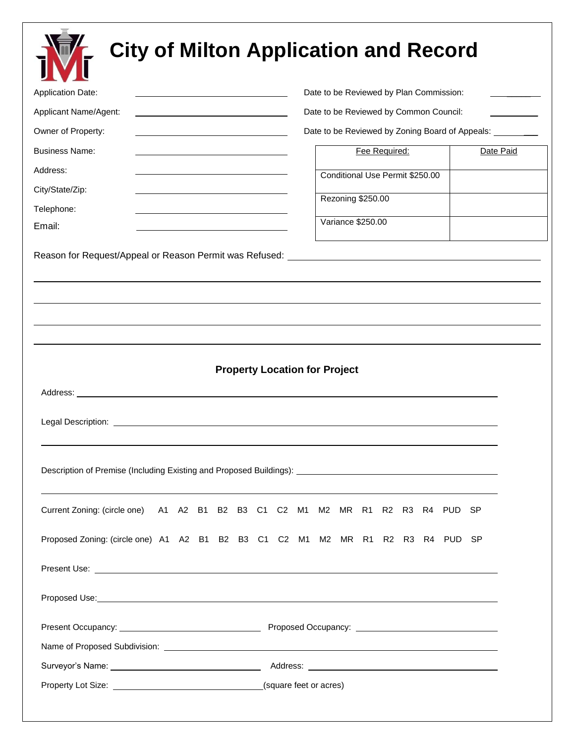## **City of Milton Application and Record**

| <u>in the second second second second second second second second second second second second second second second second second second second second second second second second second second second second second second seco</u>                                                                                   |                                         |                                        |  |                   |                                 |               |  |  |  |  |                                                           |
|------------------------------------------------------------------------------------------------------------------------------------------------------------------------------------------------------------------------------------------------------------------------------------------------------------------------|-----------------------------------------|----------------------------------------|--|-------------------|---------------------------------|---------------|--|--|--|--|-----------------------------------------------------------|
| <b>Application Date:</b>                                                                                                                                                                                                                                                                                               | Date to be Reviewed by Plan Commission: |                                        |  |                   |                                 |               |  |  |  |  |                                                           |
| Applicant Name/Agent:<br><u> 1989 - Johann Barnett, fransk politiker (d. 1989)</u>                                                                                                                                                                                                                                     |                                         | Date to be Reviewed by Common Council: |  |                   |                                 |               |  |  |  |  |                                                           |
| Owner of Property:<br><u> 1980 - Johann Barnett, fransk politik (d. 1980)</u>                                                                                                                                                                                                                                          |                                         |                                        |  |                   |                                 |               |  |  |  |  | Date to be Reviewed by Zoning Board of Appeals: _________ |
| <b>Business Name:</b>                                                                                                                                                                                                                                                                                                  |                                         |                                        |  |                   |                                 | Fee Required: |  |  |  |  | Date Paid                                                 |
| Address:                                                                                                                                                                                                                                                                                                               |                                         |                                        |  |                   | Conditional Use Permit \$250.00 |               |  |  |  |  |                                                           |
| City/State/Zip:                                                                                                                                                                                                                                                                                                        |                                         |                                        |  |                   |                                 |               |  |  |  |  |                                                           |
| Telephone:                                                                                                                                                                                                                                                                                                             |                                         |                                        |  | Rezoning \$250.00 |                                 |               |  |  |  |  |                                                           |
| Email:                                                                                                                                                                                                                                                                                                                 |                                         |                                        |  | Variance \$250.00 |                                 |               |  |  |  |  |                                                           |
|                                                                                                                                                                                                                                                                                                                        |                                         |                                        |  |                   |                                 |               |  |  |  |  |                                                           |
| Address: <u>Address:</u> Address: Address: Address: Address: Address: Address: Address: Address: Address: Address: Address: Address: Address: Address: Address: Address: Address: Address: Address: Address: Address: Address: Addr                                                                                    | <b>Property Location for Project</b>    |                                        |  |                   |                                 |               |  |  |  |  |                                                           |
| Description of Premise (Including Existing and Proposed Buildings): ________________________________                                                                                                                                                                                                                   |                                         |                                        |  |                   |                                 |               |  |  |  |  |                                                           |
| Current Zoning: (circle one) A1 A2 B1 B2 B3 C1 C2 M1 M2 MR R1 R2 R3 R4 PUD SP                                                                                                                                                                                                                                          |                                         |                                        |  |                   |                                 |               |  |  |  |  |                                                           |
|                                                                                                                                                                                                                                                                                                                        |                                         |                                        |  |                   |                                 |               |  |  |  |  |                                                           |
|                                                                                                                                                                                                                                                                                                                        |                                         |                                        |  |                   |                                 |               |  |  |  |  |                                                           |
| Proposed Zoning: (circle one) A1 A2 B1 B2 B3 C1 C2 M1 M2 MR R1 R2 R3 R4 PUD SP<br>Present Use: <u>example and the set of the set of the set of the set of the set of the set of the set of the set of the set of the set of the set of the set of the set of the set of the set of the set of the set of the set o</u> |                                         |                                        |  |                   |                                 |               |  |  |  |  |                                                           |
|                                                                                                                                                                                                                                                                                                                        |                                         |                                        |  |                   |                                 |               |  |  |  |  |                                                           |
|                                                                                                                                                                                                                                                                                                                        |                                         |                                        |  |                   |                                 |               |  |  |  |  |                                                           |
|                                                                                                                                                                                                                                                                                                                        |                                         |                                        |  |                   |                                 |               |  |  |  |  |                                                           |
|                                                                                                                                                                                                                                                                                                                        |                                         |                                        |  |                   |                                 |               |  |  |  |  |                                                           |